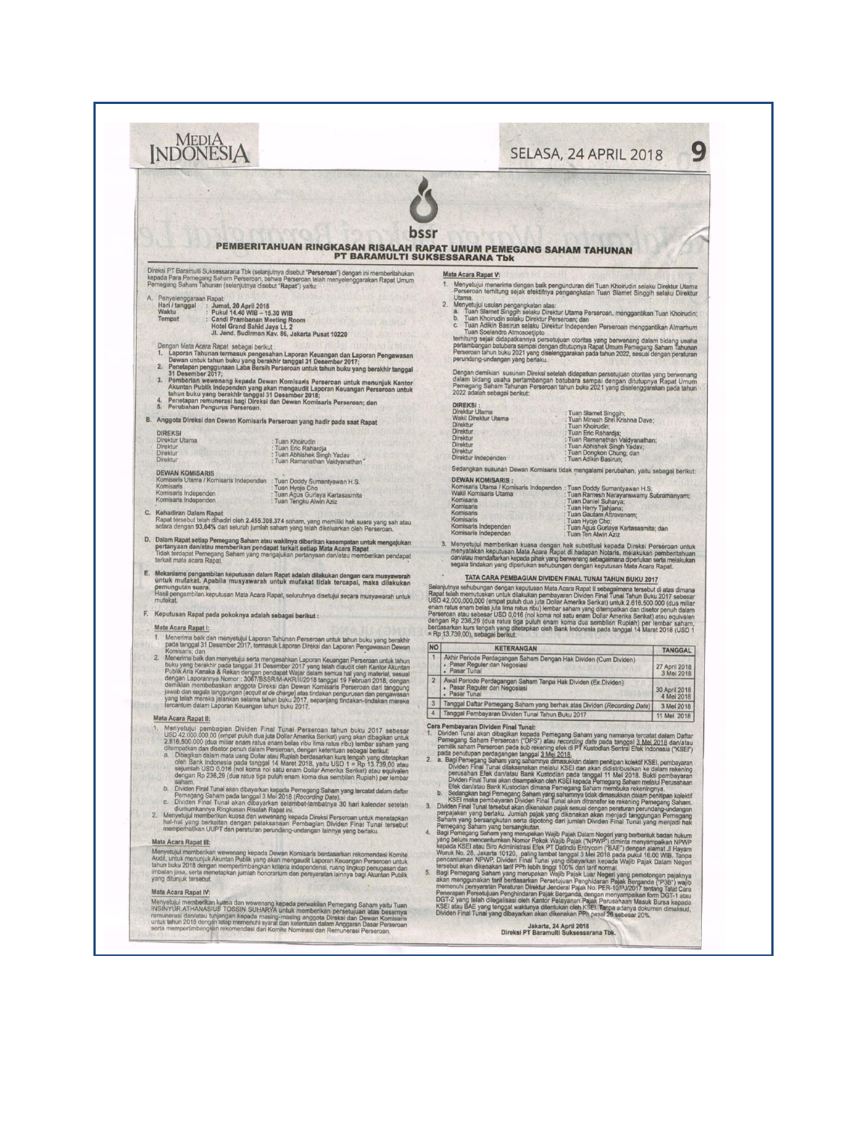| <b>INDONESIA</b>                                                                                                                                                                                                                                                                                                                                                       | G<br>SELASA, 24 APRIL 2018                                                                                                                                                                                                                                                                                                                                                                                                      |
|------------------------------------------------------------------------------------------------------------------------------------------------------------------------------------------------------------------------------------------------------------------------------------------------------------------------------------------------------------------------|---------------------------------------------------------------------------------------------------------------------------------------------------------------------------------------------------------------------------------------------------------------------------------------------------------------------------------------------------------------------------------------------------------------------------------|
|                                                                                                                                                                                                                                                                                                                                                                        |                                                                                                                                                                                                                                                                                                                                                                                                                                 |
|                                                                                                                                                                                                                                                                                                                                                                        |                                                                                                                                                                                                                                                                                                                                                                                                                                 |
|                                                                                                                                                                                                                                                                                                                                                                        | PEMBERITAHUAN RINGKASAN RISALAH RAPAT UMUM PEMEGANG SAHAM TAHUNAN                                                                                                                                                                                                                                                                                                                                                               |
|                                                                                                                                                                                                                                                                                                                                                                        | <b>PT BARAMULTI SUKSESSARANA Tbk</b>                                                                                                                                                                                                                                                                                                                                                                                            |
| Direksi PT Baramulti Suksessarana Tbk (selanjutnya disebut "Perseroan") dengan ini memberitahukan<br>kepada Para Pemegang Saham Perseroan, bahwa Perseroan telah menyelenggarakan Rapat Umum<br>Pemegang Saham Tahunan (selanjutnya disebut "Rapat") yaitu:                                                                                                            | Mata Acara Rapat V:<br>Menyetujui menerima dengan baik pengunduran diri Tuan Khoirudin selaku Direktur Utama<br>Perseroan terhitung sejak efektifnya pengangkatan Tuan Slamet Singgih selaku Direktur                                                                                                                                                                                                                           |
| А.<br>Penyelenggaraan Rapat:<br>Hari / tanggal<br>Jumat, 20 April 2018<br>Pukul 14.40 WIB - 15.30 WIB<br>Waktu                                                                                                                                                                                                                                                         | Utama.<br>$\mathbf{2}$<br>Menyetujui usulan pengangkatan atas:<br>a. Tuan Slamet Singgih selaku Direktur Utama Perseroan, menggantikan Tuan Khoirudin;<br>b. Tuan Khoirudin selaku Direktur Perseroan; dan                                                                                                                                                                                                                      |
| Tempat<br><b>Candi Prambanan Meeting Room</b><br>Hotel Grand Sahid Jaya Lt. 2<br>Jl. Jend. Sudirman Kav. 86, Jakarta Pusat 10220                                                                                                                                                                                                                                       | Tuan Adikin Basirun selaku Direktur Independen Perseroan menggantikan Almarhum<br>C.<br>Tuan Soelendro Atmosoetjipto                                                                                                                                                                                                                                                                                                            |
| Dengan Mata Acara Rapat sebagai berikut<br>Laporan Tahunan termasuk pengesahan Laporan Keuangan dan Laporan Pengawasan                                                                                                                                                                                                                                                 | terhitung sejak didapatkannya persetujuan otoritas yang berwenang dalam bidang usaha<br>pertambangan batubara sampai dengan ditutupnya Rapat Umum Pemegang Saham Tahunan<br>Perseroan tahun buku 2021 yang diselenggarakan pada tahu<br>perundang-undangan yang berlaku.                                                                                                                                                        |
| Dewan untuk tahun buku yang berakhir tanggal 31 Desember 2017;<br>Penetapan penggunaan Laba Bersih Perseroan untuk tahun buku yang berakhir tanggal<br>2.<br>31 Desember 2017;<br>з.                                                                                                                                                                                   | Dengan demikian susunan Direksi setelah didapatkan persetujuan otoritas yang berwenang<br>dalam bidang usaha pertambangan batubara sampai dengan ditutupnya Rapat Umum<br>Pemegang Saham Tahunan Perseroan tahun buku 2021 yang dise                                                                                                                                                                                            |
| Pemberiam wewenang kepada Dewan Komisaris Perseroan untuk menunjuk Kantor<br>Akuntan Publik Indopenden yang akan mengaudit Laporan Keuangan Perseroan untuk<br>Tahun buku yang berakhir tanggal 31 Desember 2018;<br>Perseraan remuncra<br>Perubahan Pengurus Perseroan.<br>5.                                                                                         | <b>DIREKSI:</b>                                                                                                                                                                                                                                                                                                                                                                                                                 |
| B. Anggota Direksi dan Dewan Komisaris Perseroan yang hadir pada saat Rapat<br><b>DIREKSI</b>                                                                                                                                                                                                                                                                          | Direktur Utama<br>Tuan Slamet Singgih;<br>: Tuan Minesh Shri Krishna Dave;<br>Wakil Direktur Utama<br>Direktur<br>Tuan Khoirudin;<br><b>Direktur</b>                                                                                                                                                                                                                                                                            |
| Direktur Utama<br>Tuan Khoirudin<br>Direktur<br>Tuan Eric Rahardja<br>Direktur<br>Tuan Abhishek Singh Yadav                                                                                                                                                                                                                                                            | : Tuan Eric Rahardja;<br>: Tuan Ramanathan Vaidyanathan;<br>Direktur<br>Direktur<br>Tuan Abhishek Singh Yadav;<br>Direktur<br>Tuan Dongkon Chung; dan                                                                                                                                                                                                                                                                           |
| Direktur<br>: Tuan Ramanathan Vaidyanathan'<br><b>DEWAN KOMISARIS</b>                                                                                                                                                                                                                                                                                                  | Direktur Independen<br>: Tuan Adikin Basirun;<br>Sedangkan susunan Dewan Komisaris tidak mengalami perubahan, yaitu sebagai berikut:                                                                                                                                                                                                                                                                                            |
| Komisaris Utama / Komisaris Independen<br>: Tuan Doddy Sumantyawan H.S.<br>Komisaris<br>Tuan Hyoje Cho<br>Komisaris Independen<br>: Tuan Agus Gurlaya Kartasasmita<br>: Tuan Tengku Alwin Aziz<br>Komisaris Independen                                                                                                                                                 | <b>DEWAN KOMISARIS:</b><br>Derkari Norman Komisaris Independen : Tuan Doddy Sumantyawan H.S;<br>Komisaris Utama / Komisaris Independen : Tuan Ramesh Narayanswamy Subramanyam;<br>Komisaris<br>Tuan Daniel Suharya;                                                                                                                                                                                                             |
| C.<br>Kehadiran Dalam Rapat<br>Rapat tersebut telah dihadiri oleh 2.455.308.374 saham, yang memiliki hak suara yang sah atau                                                                                                                                                                                                                                           | Komisaris<br>Tuan Herry Tjahjana;<br>Komisaris<br>Tuan Gautam Attravanam;<br>Komisaris<br>Tuan Hyoje Cho;                                                                                                                                                                                                                                                                                                                       |
| setara dengan 93,84% dari seluruh jumlah saham yang telah dikeluarkan oleh Perseroan.<br>D. Dalam Rapat setiap Pemegang Saham atau wakilnya diberikan kesempatan untuk mengajukan<br>pertanyaan dan/atau memberikan pendapat terkait setiap Mata Acara Rapat                                                                                                           | Komisaris Independen<br>Tuan Agus Gurlaya Kartasasmita; dan<br>Komisaris Independen<br>Tuan Ten Alwin Aziz<br>3. Menyetujui memberikan kuasa dengan hak substitusi kepada Direksi Perseroan untuk menyatakan keputusan Mata Acara Rapat di hadapan Notaris, melakukan pemberitahuan                                                                                                                                             |
| Tidak terdapat Pemegang Saham yang mengajukan pertanyaan dan/atau memberikan pendapat<br>terkait mata acara Rapat.                                                                                                                                                                                                                                                     | dan/atau mendaftarkan kepada pihak yang berwenang sebagaimana diperlukan serta melakukan<br>segala tindakan yang diperlukan sehubungan dengan keputusan Mata Acara Rapat.                                                                                                                                                                                                                                                       |
| E. Mekanisme pengambilan keputusan dalam Rapat adalah dilakukan dengan cara musyawarah<br>untuk mufakat. Apabila musyawarah untuk mufakat tidak tercapai, maka dilakukan<br>pemungutan suara<br>Hasil pengambilan keputusan Mata Acara Rapat, seluruhnya disetujui secara musyawarah untuk                                                                             | TATA CARA PEMBAGIAN DIVIDEN FINAL TUNAI TAHUN BUKU 2017<br>Selanjutnya sehubungan dengan keputusan Mata Acara Rapat II sebagaimana tersebut di atas dimana<br>Rapat telah memutuskan untuk dilakukan pembayaran Dividen Final Tunai Tahun Buku 2017 sebesar                                                                                                                                                                     |
| mufakat<br>F. Keputusan Rapat pada pokoknya adalah sebagai berikut:                                                                                                                                                                                                                                                                                                    | USD 42,000,000,000 (empat puluh dua juta Dollar Amerika Serikat) untuk 2.616.500.000 (dua miliar<br>enam ratus enam belas juta lima ratus ribu) lembar saham yang ditempatkan dan disetor penuh dalam<br>Perseroan atau sebesar USD 0,016 (nol koma nol satu enam Dollar Amerika Serikat) atau equivalen                                                                                                                        |
| Mata Acara Rapat I:<br>Menerima baik dan menyetujui Laporan Tahunan Perseroan untuk tahun buku yang berakhir<br>1.                                                                                                                                                                                                                                                     | dengan Rp 236,29 (dua ratus tiga puluh enam koma dua sembitan Rupiah) per lembar saham.<br>berdasarkan kurs tengah yang ditetapkan oleh Bank Indonesia pada tanggal 14 Maret 2018 (USD 1<br>= Rp 13.739,00), sebagai berikut:                                                                                                                                                                                                   |
| pada tanggal 31 Desember 2017, termasuk Laporan Direksi dan Laporan Pengawasan Dewan<br>Komisaris; dan<br>Menerima baik dan menyetujui serta mengesahkan Laporan Keuangan Perseroan untuk tahun<br>2.                                                                                                                                                                  | <b>NO</b><br><b>KETERANGAN</b><br>TANGGAL<br>Akhir Periode Perdagangan Saham Dengan Hak Dividen (Cum Dividen)<br>- Pasar Reguler dan Negosiasi                                                                                                                                                                                                                                                                                  |
| buku yang berakhir pada tanggal 31 Desember 2017 yang telah diaudit oleh Kantor Akuritan<br>Publik Ana Kanaka & Rekan dengan pendapat Wajar dalam semua hal yang material, sesuai dengan Laporannya Nomor : 3067/BSSR/M-AKR/Il/20                                                                                                                                      | 27 April 2018<br>3 Mei 2018<br>Pasar Tunai<br>$\overline{2}$<br>Awal Periode Perdagangan Saham Tanpa Hak Dividen (Ex Dividen)<br>Pasar Reguler dan Negosiasi                                                                                                                                                                                                                                                                    |
| jawab dan segala tanggungan <i>tecapit eta barrge atas tindakaran sereseruan dari nanggungan</i><br>yang telah mereka, jalankan selaran tahun buku 2017, sepanjang tindakar pengurusan dan pengawasan<br>tercantum dalam Laporan Keuangan<br><b>YSE</b>                                                                                                                | 30 April 2018<br>4 Mei 2018<br>Pasar Tunai<br>Tanggal Daftar Pemegang Saham yang berhak atas Dividen (Recording Date)<br>3 Mei 2018                                                                                                                                                                                                                                                                                             |
| Mata Acara Rapat II:<br>Menyetujui pembagian Dividen Final Tunai Perseroan tahun buku 2017 sebesar                                                                                                                                                                                                                                                                     | Tanggal Pembayaran Dividen Tunai Tahun Buku 2017<br>11 Mei 2018<br>Cara Pembayaran Dividen Final Tunal:<br>1.                                                                                                                                                                                                                                                                                                                   |
| USD 42.000.000,00 (empat puluh dua juta Dollar Amerika Serikat) yang akan dibagikan untuk<br>2.616.500.000 (dua miliar enam ratus enam belas ribu lima ratus ribu) lembar saham yang<br>ditempatkan dan disetor penuh dalam Perseroan, dengan ketentuan sebagai berikut:<br>Dibagikan dalam mata uang Dollar atau Rupiah berdasarkan kurs tengah yang ditetapkan<br>a. | Dividen Tunai akan dibagikan kepada Pemegang Saham yang namanya tercatat dalam Daftar<br>Pemegang Saham Persencan ("DFS") atau recording date pada tanggal 3 Mal 2018 dan/atau<br>pemejak saham Persencan pada sub rekening efek di<br>pada penutupan perdagangan tanggal 3 Mei 2018.                                                                                                                                           |
| oleh Bank Indonesia pada tanggal 14 Maret 2018, yaitu USD 1 = Rp 13.739,00 atau<br>sejumlah USD 0,016 (nol koma nol satu enam Dollar Amerika Serikat) atau equivalen<br>dengan Rp 236,29 (dua ratus tiga puluh enam koma dua sembilan Rupiah) per lembar<br>GRAG                                                                                                       | Bagi Pemegang Saham yang sahamnya dimasukkan dalam penitipan kolektif KSEI, pembayaran<br>Dividen Final Tunai dilaksanakan melalui KSEI dan akan didistribusikan ke dalam rekening<br>a<br>perusahan Efek dan/atau Bank Kustodian pada tanggal 11 Mei 2018. Bukti pembayaran<br>Diwam Final Tunai akan disampakan oleh KSEI kepada Pemegara Saharn melalui Perusahaan<br>Efek dan/atau Bank Kustodian dimana Pemegang Saham mem |
| saham.<br>b.<br>Dividen Final Tunai akan dibayarkan kepada Pemegang Saham yang tercetat dalam daftar<br>Pemegang Saham pada tanggal 3 Mei 2018 (Recording Date).<br>Dividen Final Tunai akan dibayarkan selambat-lambatnya 30 hari kalender setelah<br>$C$ .                                                                                                           | b.<br>Sedangkan bagi Pemegang Saham yang sahamnya tidak dimasukkan dalam penitipan kolektif<br>KSEI maka pembayaran Dividen Final Tunai akan ditransfer ke rekening Pemegang Saham.                                                                                                                                                                                                                                             |
| diumumkannya Ringkasan Risalah Rapat ini.<br>2.<br>Menyetujui memberikan kuasa dan wewenang kepada Direksi Perseroan untuk menetapkan<br>hal-hal yang berkaitan dengan pelaksanaan Pembagian Dividen Final Tunai tersebut                                                                                                                                              | 3. Dividen Final Tunal tersebut akan dikenakan pajak sesuai dengan peraturan perundang-undangan<br>perpajakan yang berlaku. Jumlah pajak yang dikenakan akan menjadi tanggungan Pemegang<br>Saham yang bersangkutan serta dipotong dari jumlah Dividen Final Tunal yang menjadi hak<br>Pemegang Saham yang bersangkutan.                                                                                                        |
| memperhatikan UUPT dan peraturan perundang-undangan lainnya yang berlaku.<br>Mata Acara Rapat III:                                                                                                                                                                                                                                                                     | 4.                                                                                                                                                                                                                                                                                                                                                                                                                              |
| Menyetujui memberikan wewenang kepada Dewan Komisaris berdasarkan rekomendasi Komite<br>Audit, untuk menunjuk Akuntan Publik yang akan mengaudit Laporan Keuangan Perseroan untuk<br>tahun buku 2018 dengan mempertimbangkan kriteria independensi, ruang lingkup penugasan dan                                                                                        | 5.                                                                                                                                                                                                                                                                                                                                                                                                                              |
| imbalan jasa, serta menetapkan jumlah honorarium dan persyaratan lainnya bagi Akuntan Publik<br>yang ditunjuk tersebut.<br>Mata Acara Rapat IV:                                                                                                                                                                                                                        |                                                                                                                                                                                                                                                                                                                                                                                                                                 |
| Menyetujui memberikan kuasa dan wewenang kepada perwakilan Pemegang Saham yaitu Tuan<br>INSINYUR ATHANASIUS TOSSIN SUHARYA untuk memberikan persetujuan atas besarnya                                                                                                                                                                                                  | Pemegang Saham yang bersangkulan.<br>Kapat pemegang Saham yang merupakan Wajib Pajak Dalam Negeri yang berbentuk badan hukum<br>Rapi Pemegang Saham yang merupakan Wajib Pajak ("NPWP) dimihit menyampaikan NPWP yang kanta KSEI ata                                                                                                                                                                                            |
| remunerasi dan/atau tunjangan kepada masing-masing anggota Direksi dan Dewan Komisaris<br>untuk tahun 2018 dengan tetap memenuhi syarat dan ketentuan dalam Anggaran Dasar Perseroan<br>serta mempertimbangkan rekomendasi dari Komite Nominasi dan Remunerasi Perseroan.                                                                                              | Jakarta, 24 April 2018<br>Direksi PT Baramulti Suksessarana Tbk.                                                                                                                                                                                                                                                                                                                                                                |
|                                                                                                                                                                                                                                                                                                                                                                        |                                                                                                                                                                                                                                                                                                                                                                                                                                 |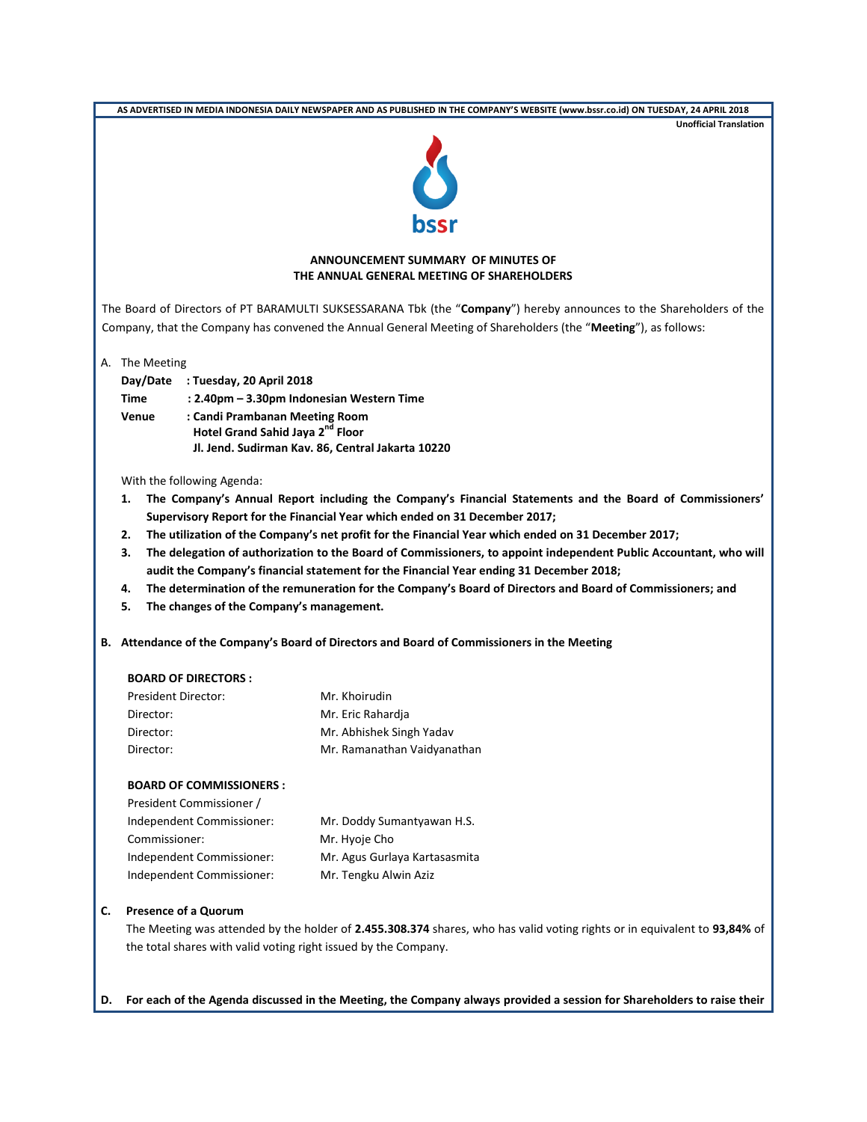| <b>Unofficial Translation</b>                                                                                             |  |  |  |  |
|---------------------------------------------------------------------------------------------------------------------------|--|--|--|--|
|                                                                                                                           |  |  |  |  |
|                                                                                                                           |  |  |  |  |
|                                                                                                                           |  |  |  |  |
| ANNOUNCEMENT SUMMARY OF MINUTES OF<br>THE ANNUAL GENERAL MEETING OF SHAREHOLDERS                                          |  |  |  |  |
| The Board of Directors of PT BARAMULTI SUKSESSARANA Tbk (the "Company") hereby announces to the Shareholders of the       |  |  |  |  |
| Company, that the Company has convened the Annual General Meeting of Shareholders (the "Meeting"), as follows:            |  |  |  |  |
| A. The Meeting                                                                                                            |  |  |  |  |
| Day/Date : Tuesday, 20 April 2018                                                                                         |  |  |  |  |
| Time<br>: 2.40pm - 3.30pm Indonesian Western Time                                                                         |  |  |  |  |
| : Candi Prambanan Meeting Room<br>Venue                                                                                   |  |  |  |  |
| Hotel Grand Sahid Jaya 2 <sup>nd</sup> Floor                                                                              |  |  |  |  |
| Jl. Jend. Sudirman Kav. 86, Central Jakarta 10220                                                                         |  |  |  |  |
| With the following Agenda:                                                                                                |  |  |  |  |
| The Company's Annual Report including the Company's Financial Statements and the Board of Commissioners'<br>1.            |  |  |  |  |
| Supervisory Report for the Financial Year which ended on 31 December 2017;                                                |  |  |  |  |
| The utilization of the Company's net profit for the Financial Year which ended on 31 December 2017;<br>2.                 |  |  |  |  |
| 3.<br>The delegation of authorization to the Board of Commissioners, to appoint independent Public Accountant, who will   |  |  |  |  |
| audit the Company's financial statement for the Financial Year ending 31 December 2018;                                   |  |  |  |  |
| The determination of the remuneration for the Company's Board of Directors and Board of Commissioners; and<br>4.          |  |  |  |  |
| The changes of the Company's management.<br>5.                                                                            |  |  |  |  |
| B. Attendance of the Company's Board of Directors and Board of Commissioners in the Meeting                               |  |  |  |  |
| <b>BOARD OF DIRECTORS:</b>                                                                                                |  |  |  |  |
| <b>President Director:</b><br>Mr. Khoirudin                                                                               |  |  |  |  |
| Director:<br>Mr. Eric Rahardja                                                                                            |  |  |  |  |
|                                                                                                                           |  |  |  |  |
| Mr. Abhishek Singh Yadav<br>Director:                                                                                     |  |  |  |  |
| Mr. Ramanathan Vaidyanathan<br>Director:                                                                                  |  |  |  |  |
| <b>BOARD OF COMMISSIONERS:</b>                                                                                            |  |  |  |  |
| President Commissioner /                                                                                                  |  |  |  |  |
| Independent Commissioner:<br>Mr. Doddy Sumantyawan H.S.                                                                   |  |  |  |  |
| Commissioner:<br>Mr. Hyoje Cho                                                                                            |  |  |  |  |
| Independent Commissioner:<br>Mr. Agus Gurlaya Kartasasmita                                                                |  |  |  |  |
| Independent Commissioner:<br>Mr. Tengku Alwin Aziz                                                                        |  |  |  |  |
| <b>Presence of a Quorum</b><br>C.                                                                                         |  |  |  |  |
| The Meeting was attended by the holder of 2.455.308.374 shares, who has valid voting rights or in equivalent to 93,84% of |  |  |  |  |
| the total shares with valid voting right issued by the Company.                                                           |  |  |  |  |

**D. For each of the Agenda discussed in the Meeting, the Company always provided a session for Shareholders to raise their**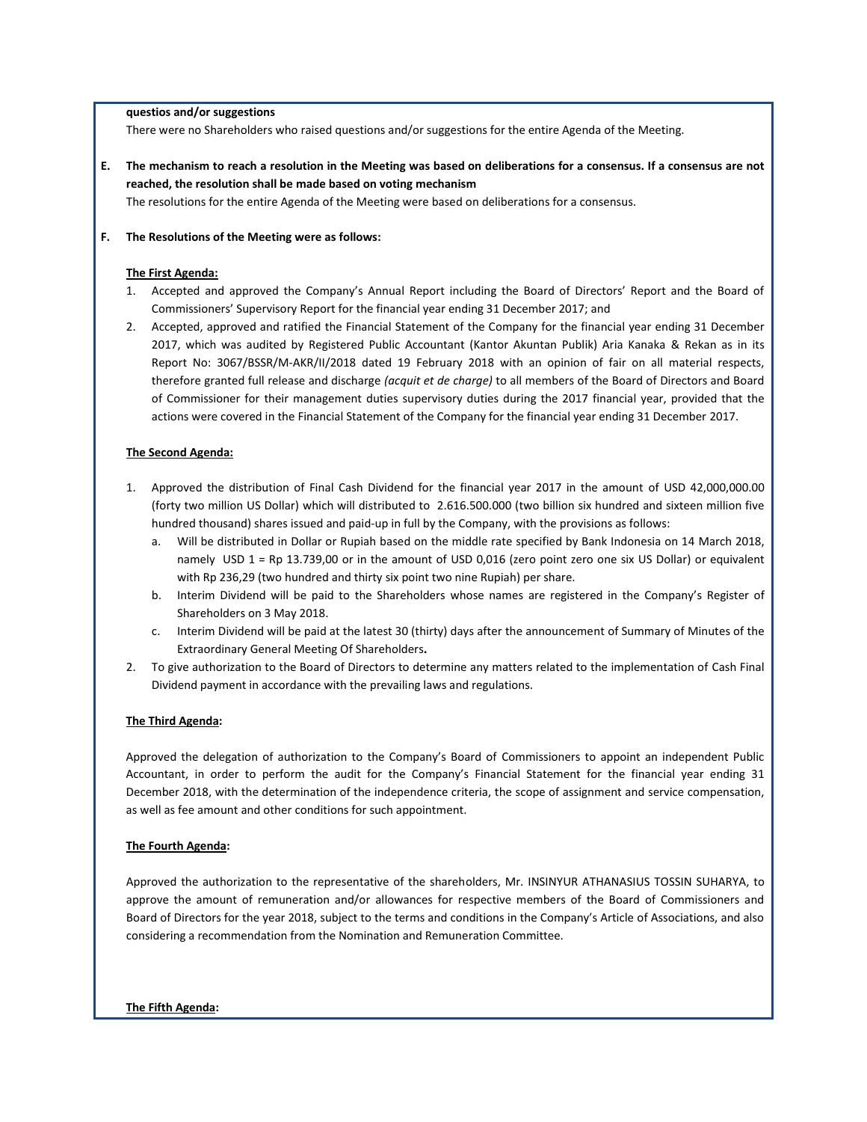#### **questios and/or suggestions**

There were no Shareholders who raised questions and/or suggestions for the entire Agenda of the Meeting.

**E. The mechanism to reach a resolution in the Meeting was based on deliberations for a consensus. If a consensus are not reached, the resolution shall be made based on voting mechanism**

The resolutions for the entire Agenda of the Meeting were based on deliberations for a consensus.

#### **F. The Resolutions of the Meeting were as follows:**

## **The First Agenda:**

- 1. Accepted and approved the Company's Annual Report including the Board of Directors' Report and the Board of Commissioners' Supervisory Report for the financial year ending 31 December 2017; and
- 2. Accepted, approved and ratified the Financial Statement of the Company for the financial year ending 31 December 2017, which was audited by Registered Public Accountant (Kantor Akuntan Publik) Aria Kanaka & Rekan as in its Report No: 3067/BSSR/M-AKR/II/2018 dated 19 February 2018 with an opinion of fair on all material respects, therefore granted full release and discharge *(acquit et de charge)* to all members of the Board of Directors and Board of Commissioner for their management duties supervisory duties during the 2017 financial year, provided that the actions were covered in the Financial Statement of the Company for the financial year ending 31 December 2017.

### **The Second Agenda:**

- 1. Approved the distribution of Final Cash Dividend for the financial year 2017 in the amount of USD 42,000,000.00 (forty two million US Dollar) which will distributed to 2.616.500.000 (two billion six hundred and sixteen million five hundred thousand) shares issued and paid-up in full by the Company, with the provisions as follows:
	- a. Will be distributed in Dollar or Rupiah based on the middle rate specified by Bank Indonesia on 14 March 2018, namely USD 1 = Rp 13.739,00 or in the amount of USD 0,016 (zero point zero one six US Dollar) or equivalent with Rp 236,29 (two hundred and thirty six point two nine Rupiah) per share.
	- b. Interim Dividend will be paid to the Shareholders whose names are registered in the Company's Register of Shareholders on 3 May 2018.
	- c. Interim Dividend will be paid at the latest 30 (thirty) days after the announcement of Summary of Minutes of the Extraordinary General Meeting Of Shareholders**.**
- 2. To give authorization to the Board of Directors to determine any matters related to the implementation of Cash Final Dividend payment in accordance with the prevailing laws and regulations.

#### **The Third Agenda:**

Approved the delegation of authorization to the Company's Board of Commissioners to appoint an independent Public Accountant, in order to perform the audit for the Company's Financial Statement for the financial year ending 31 December 2018, with the determination of the independence criteria, the scope of assignment and service compensation, as well as fee amount and other conditions for such appointment.

#### **The Fourth Agenda:**

Approved the authorization to the representative of the shareholders, Mr. INSINYUR ATHANASIUS TOSSIN SUHARYA, to approve the amount of remuneration and/or allowances for respective members of the Board of Commissioners and Board of Directors for the year 2018, subject to the terms and conditions in the Company's Article of Associations, and also considering a recommendation from the Nomination and Remuneration Committee.

#### **The Fifth Agenda:**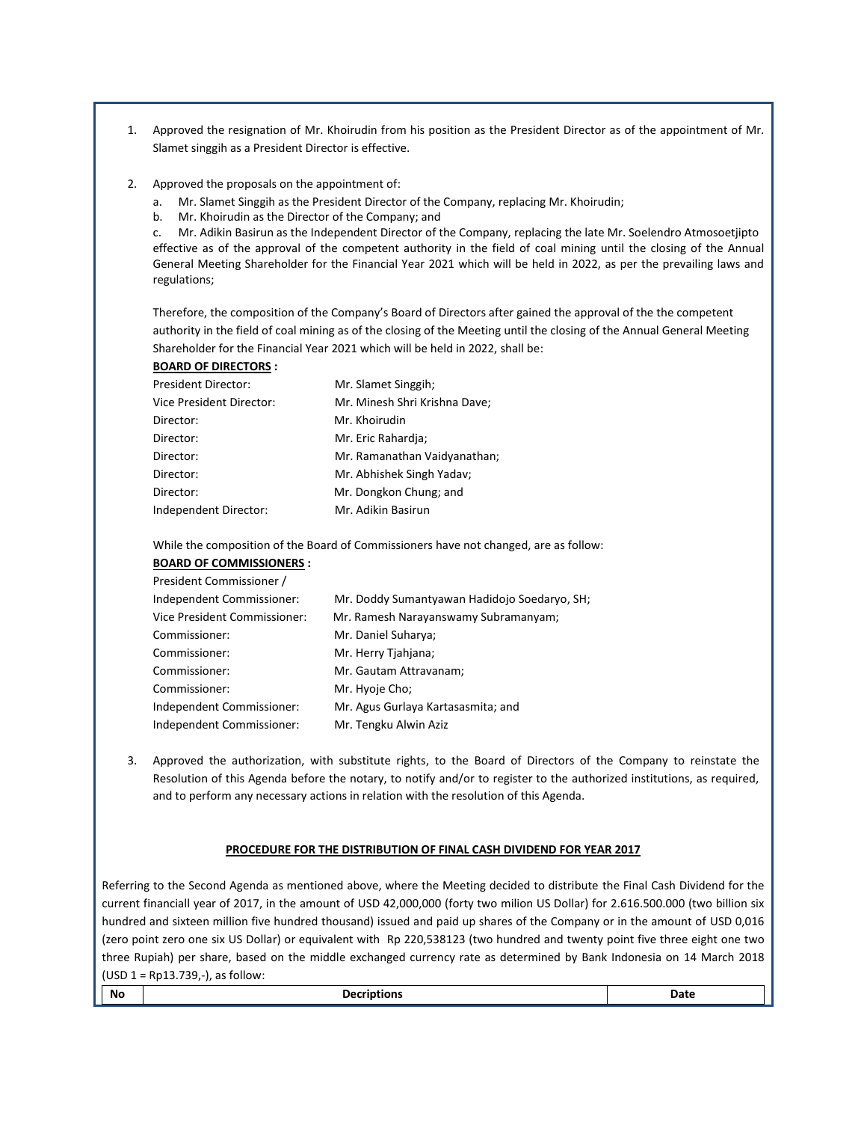- 1. Approved the resignation of Mr. Khoirudin from his position as the President Director as of the appointment of Mr. Slamet singgih as a President Director is effective.
- 2. Approved the proposals on the appointment of:
	- a. Mr. Slamet Singgih as the President Director of the Company, replacing Mr. Khoirudin;
	- b. Mr. Khoirudin as the Director of the Company; and

c. Mr. Adikin Basirun as the Independent Director of the Company, replacing the late Mr. Soelendro Atmosoetjipto effective as of the approval of the competent authority in the field of coal mining until the closing of the Annual General Meeting Shareholder for the Financial Year 2021 which will be held in 2022, as per the prevailing laws and regulations;

Therefore, the composition of the Company's Board of Directors after gained the approval of the the competent authority in the field of coal mining as of the closing of the Meeting until the closing of the Annual General Meeting Shareholder for the Financial Year 2021 which will be held in 2022, shall be:

**BOARD OF DIRECTORS :**

| <b>President Director:</b> | Mr. Slamet Singgih;           |  |
|----------------------------|-------------------------------|--|
| Vice President Director:   | Mr. Minesh Shri Krishna Dave; |  |
| Director:                  | Mr. Khoirudin                 |  |
| Director:                  | Mr. Eric Rahardja;            |  |
| Director:                  | Mr. Ramanathan Vaidyanathan;  |  |
| Director:                  | Mr. Abhishek Singh Yadav;     |  |
| Director:                  | Mr. Dongkon Chung; and        |  |
| Independent Director:      | Mr. Adikin Basirun            |  |

While the composition of the Board of Commissioners have not changed, are as follow:

# **BOARD OF COMMISSIONERS :**

| President Commissioner /     |                                              |
|------------------------------|----------------------------------------------|
| Independent Commissioner:    | Mr. Doddy Sumantyawan Hadidojo Soedaryo, SH; |
| Vice President Commissioner: | Mr. Ramesh Narayanswamy Subramanyam;         |
| Commissioner:                | Mr. Daniel Suharya;                          |
| Commissioner:                | Mr. Herry Tjahjana;                          |
| Commissioner:                | Mr. Gautam Attravanam;                       |
| Commissioner:                | Mr. Hyoje Cho;                               |
| Independent Commissioner:    | Mr. Agus Gurlaya Kartasasmita; and           |
| Independent Commissioner:    | Mr. Tengku Alwin Aziz                        |
|                              |                                              |

3. Approved the authorization, with substitute rights, to the Board of Directors of the Company to reinstate the Resolution of this Agenda before the notary, to notify and/or to register to the authorized institutions, as required, and to perform any necessary actions in relation with the resolution of this Agenda.

## **PROCEDURE FOR THE DISTRIBUTION OF FINAL CASH DIVIDEND FOR YEAR 2017**

Referring to the Second Agenda as mentioned above, where the Meeting decided to distribute the Final Cash Dividend for the current financiall year of 2017, in the amount of USD 42,000,000 (forty two milion US Dollar) for 2.616.500.000 (two billion six hundred and sixteen million five hundred thousand) issued and paid up shares of the Company or in the amount of USD 0,016 (zero point zero one six US Dollar) or equivalent with Rp 220,538123 (two hundred and twenty point five three eight one two three Rupiah) per share, based on the middle exchanged currency rate as determined by Bank Indonesia on 14 March 2018 (USD 1 = Rp13.739,-), as follow: